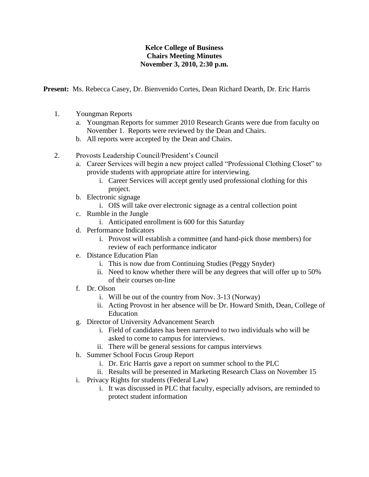## **Kelce College of Business Chairs Meeting Minutes November 3, 2010, 2:30 p.m.**

**Present:** Ms. Rebecca Casey, Dr. Bienvenido Cortes, Dean Richard Dearth, Dr. Eric Harris

- 1. Youngman Reports
	- a. Youngman Reports for summer 2010 Research Grants were due from faculty on November 1. Reports were reviewed by the Dean and Chairs.
	- b. All reports were accepted by the Dean and Chairs.
- 2. Provosts Leadership Council/President's Council
	- a. Career Services will begin a new project called "Professional Clothing Closet" to provide students with appropriate attire for interviewing.
		- i. Career Services will accept gently used professional clothing for this project.
	- b. Electronic signage
		- i. OIS will take over electronic signage as a central collection point
	- c. Rumble in the Jungle
		- i. Anticipated enrollment is 600 for this Saturday
	- d. Performance Indicators
		- i. Provost will establish a committee (and hand-pick those members) for review of each performance indicator
	- e. Distance Education Plan
		- i. This is now due from Continuing Studies (Peggy Snyder)
		- ii. Need to know whether there will be any degrees that will offer up to 50% of their courses on-line
	- f. Dr. Olson
		- i. Will be out of the country from Nov. 3-13 (Norway)
		- ii. Acting Provost in her absence will be Dr. Howard Smith, Dean, College of Education
	- g. Director of University Advancement Search
		- i. Field of candidates has been narrowed to two individuals who will be asked to come to campus for interviews.
		- ii. There will be general sessions for campus interviews
	- h. Summer School Focus Group Report
		- i. Dr. Eric Harris gave a report on summer school to the PLC
		- ii. Results will be presented in Marketing Research Class on November 15
	- i. Privacy Rights for students (Federal Law)
		- i. It was discussed in PLC that faculty, especially advisors, are reminded to protect student information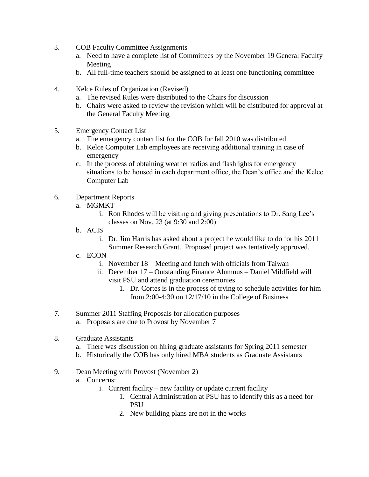- 3. COB Faculty Committee Assignments
	- a. Need to have a complete list of Committees by the November 19 General Faculty Meeting
	- b. All full-time teachers should be assigned to at least one functioning committee
- 4. Kelce Rules of Organization (Revised)
	- a. The revised Rules were distributed to the Chairs for discussion
	- b. Chairs were asked to review the revision which will be distributed for approval at the General Faculty Meeting
- 5. Emergency Contact List
	- a. The emergency contact list for the COB for fall 2010 was distributed
	- b. Kelce Computer Lab employees are receiving additional training in case of emergency
	- c. In the process of obtaining weather radios and flashlights for emergency situations to be housed in each department office, the Dean's office and the Kelce Computer Lab
- 6. Department Reports
	- a. MGMKT
		- i. Ron Rhodes will be visiting and giving presentations to Dr. Sang Lee's classes on Nov. 23 (at 9:30 and 2:00)
	- b. ACIS
		- i. Dr. Jim Harris has asked about a project he would like to do for his 2011
		- Summer Research Grant. Proposed project was tentatively approved.
	- c. ECON
		- i. November 18 Meeting and lunch with officials from Taiwan
		- ii. December 17 Outstanding Finance Alumnus Daniel Mildfield will visit PSU and attend graduation ceremonies
			- 1. Dr. Cortes is in the process of trying to schedule activities for him from 2:00-4:30 on 12/17/10 in the College of Business
- 7. Summer 2011 Staffing Proposals for allocation purposes
	- a. Proposals are due to Provost by November 7
- 8. Graduate Assistants
	- a. There was discussion on hiring graduate assistants for Spring 2011 semester
	- b. Historically the COB has only hired MBA students as Graduate Assistants
- 9. Dean Meeting with Provost (November 2)
	- a. Concerns:
		- i. Current facility new facility or update current facility
			- 1. Central Administration at PSU has to identify this as a need for **PSU**
			- 2. New building plans are not in the works